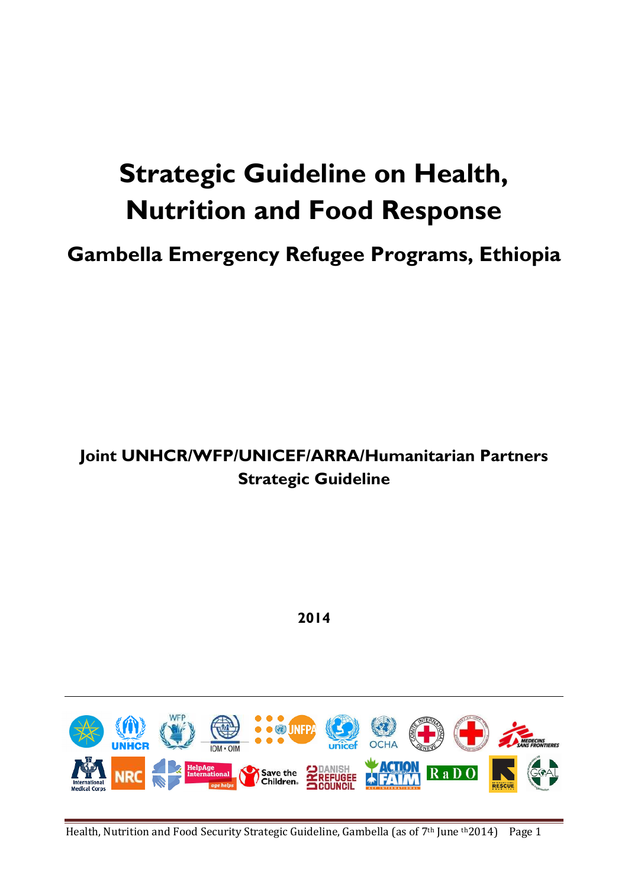# **Strategic Guideline on Health, Nutrition and Food Response**

**Gambella Emergency Refugee Programs, Ethiopia**

# **Joint UNHCR/WFP/UNICEF/ARRA/Humanitarian Partners Strategic Guideline**

**2014**

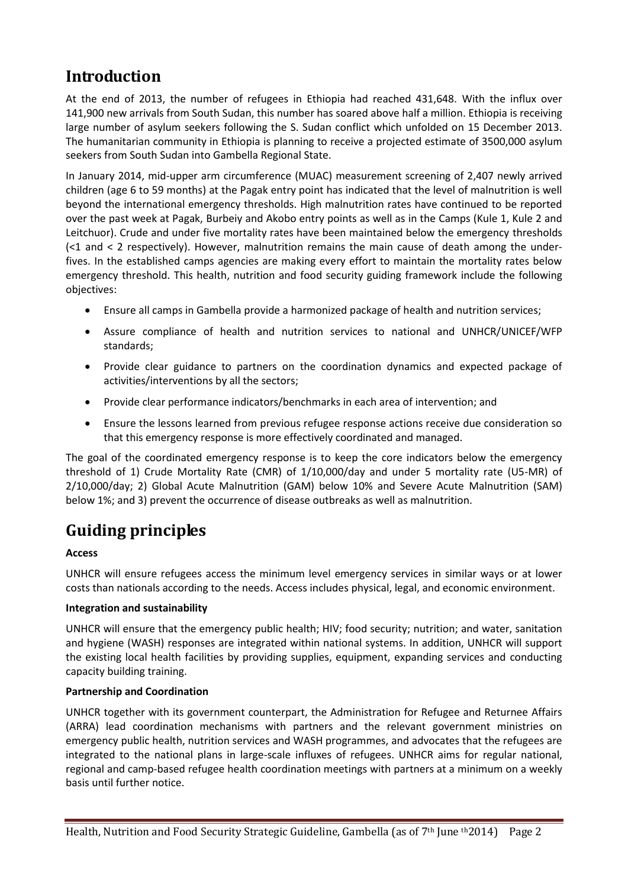# **Introduction**

At the end of 2013, the number of refugees in Ethiopia had reached 431,648. With the influx over 141,900 new arrivals from South Sudan, this number has soared above half a million. Ethiopia is receiving large number of asylum seekers following the S. Sudan conflict which unfolded on 15 December 2013. The humanitarian community in Ethiopia is planning to receive a projected estimate of 3500,000 asylum seekers from South Sudan into Gambella Regional State.

In January 2014, mid-upper arm circumference (MUAC) measurement screening of 2,407 newly arrived children (age 6 to 59 months) at the Pagak entry point has indicated that the level of malnutrition is well beyond the international emergency thresholds. High malnutrition rates have continued to be reported over the past week at Pagak, Burbeiy and Akobo entry points as well as in the Camps (Kule 1, Kule 2 and Leitchuor). Crude and under five mortality rates have been maintained below the emergency thresholds (<1 and < 2 respectively). However, malnutrition remains the main cause of death among the underfives. In the established camps agencies are making every effort to maintain the mortality rates below emergency threshold. This health, nutrition and food security guiding framework include the following objectives:

- Ensure all camps in Gambella provide a harmonized package of health and nutrition services;
- Assure compliance of health and nutrition services to national and UNHCR/UNICEF/WFP standards;
- Provide clear guidance to partners on the coordination dynamics and expected package of activities/interventions by all the sectors;
- Provide clear performance indicators/benchmarks in each area of intervention; and
- Ensure the lessons learned from previous refugee response actions receive due consideration so that this emergency response is more effectively coordinated and managed.

The goal of the coordinated emergency response is to keep the core indicators below the emergency threshold of 1) Crude Mortality Rate (CMR) of 1/10,000/day and under 5 mortality rate (U5-MR) of 2/10,000/day; 2) Global Acute Malnutrition (GAM) below 10% and Severe Acute Malnutrition (SAM) below 1%; and 3) prevent the occurrence of disease outbreaks as well as malnutrition.

# **Guiding principles**

#### **Access**

UNHCR will ensure refugees access the minimum level emergency services in similar ways or at lower costs than nationals according to the needs. Access includes physical, legal, and economic environment.

#### **Integration and sustainability**

UNHCR will ensure that the emergency public health; HIV; food security; nutrition; and water, sanitation and hygiene (WASH) responses are integrated within national systems. In addition, UNHCR will support the existing local health facilities by providing supplies, equipment, expanding services and conducting capacity building training.

#### **Partnership and Coordination**

UNHCR together with its government counterpart, the Administration for Refugee and Returnee Affairs (ARRA) lead coordination mechanisms with partners and the relevant government ministries on emergency public health, nutrition services and WASH programmes, and advocates that the refugees are integrated to the national plans in large-scale influxes of refugees. UNHCR aims for regular national, regional and camp-based refugee health coordination meetings with partners at a minimum on a weekly basis until further notice.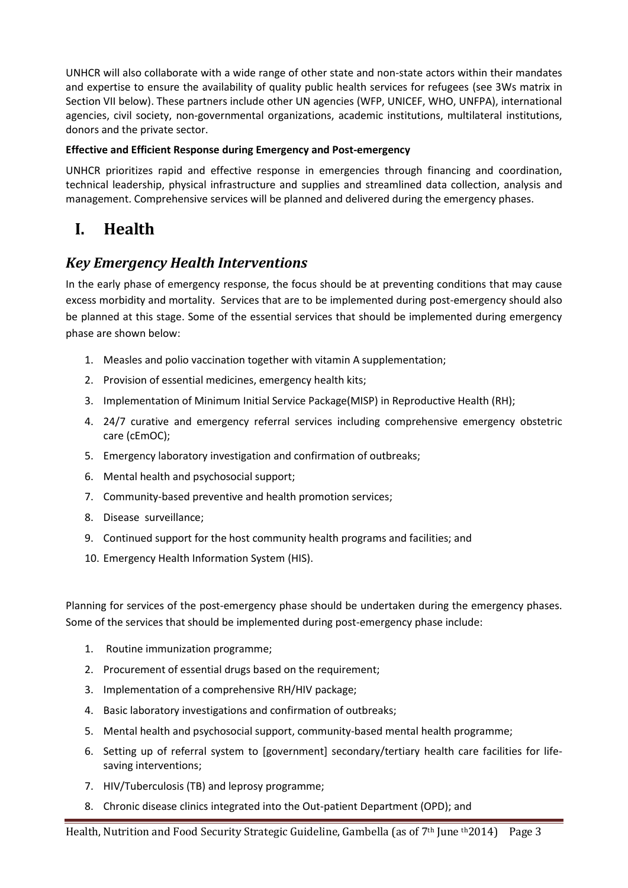UNHCR will also collaborate with a wide range of other state and non-state actors within their mandates and expertise to ensure the availability of quality public health services for refugees (see 3Ws matrix in Section VII below). These partners include other UN agencies (WFP, UNICEF, WHO, UNFPA), international agencies, civil society, non-governmental organizations, academic institutions, multilateral institutions, donors and the private sector.

#### **Effective and Efficient Response during Emergency and Post-emergency**

UNHCR prioritizes rapid and effective response in emergencies through financing and coordination, technical leadership, physical infrastructure and supplies and streamlined data collection, analysis and management. Comprehensive services will be planned and delivered during the emergency phases.

## **I. Health**

#### *Key Emergency Health Interventions*

In the early phase of emergency response, the focus should be at preventing conditions that may cause excess morbidity and mortality. Services that are to be implemented during post-emergency should also be planned at this stage. Some of the essential services that should be implemented during emergency phase are shown below:

- 1. Measles and polio vaccination together with vitamin A supplementation;
- 2. Provision of essential medicines, emergency health kits;
- 3. Implementation of Minimum Initial Service Package(MISP) in Reproductive Health (RH);
- 4. 24/7 curative and emergency referral services including comprehensive emergency obstetric care (cEmOC);
- 5. Emergency laboratory investigation and confirmation of outbreaks;
- 6. Mental health and psychosocial support;
- 7. Community-based preventive and health promotion services;
- 8. Disease surveillance;
- 9. Continued support for the host community health programs and facilities; and
- 10. Emergency Health Information System (HIS).

Planning for services of the post-emergency phase should be undertaken during the emergency phases. Some of the services that should be implemented during post-emergency phase include:

- 1. Routine immunization programme;
- 2. Procurement of essential drugs based on the requirement;
- 3. Implementation of a comprehensive RH/HIV package;
- 4. Basic laboratory investigations and confirmation of outbreaks;
- 5. Mental health and psychosocial support, community-based mental health programme;
- 6. Setting up of referral system to [government] secondary/tertiary health care facilities for lifesaving interventions;
- 7. HIV/Tuberculosis (TB) and leprosy programme;
- 8. Chronic disease clinics integrated into the Out-patient Department (OPD); and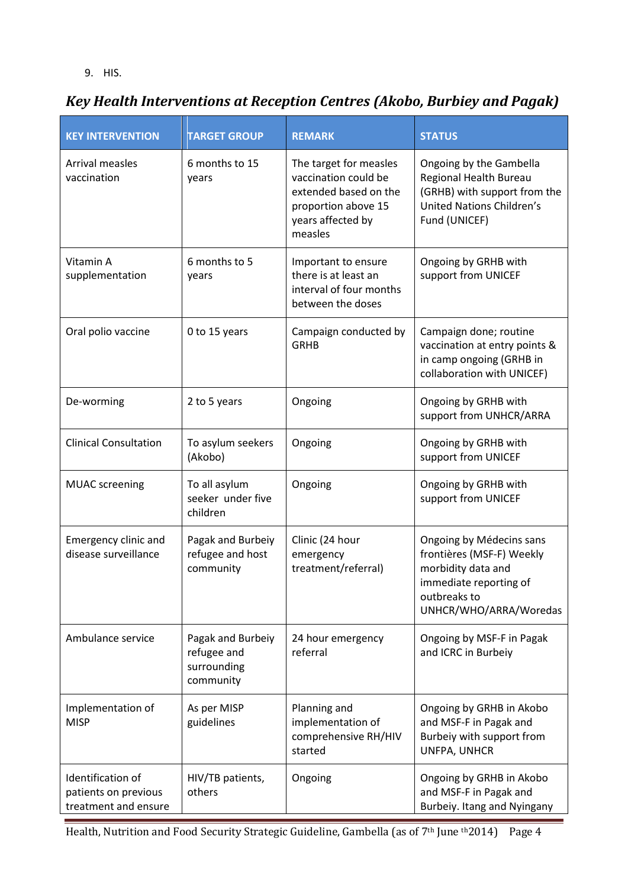#### 9. HIS.

# *Key Health Interventions at Reception Centres (Akobo, Burbiey and Pagak)*

| <b>KEY INTERVENTION</b>                                           | <b>TARGET GROUP</b>                                          | <b>REMARK</b>                                                                                                                  | <b>STATUS</b>                                                                                                                                   |
|-------------------------------------------------------------------|--------------------------------------------------------------|--------------------------------------------------------------------------------------------------------------------------------|-------------------------------------------------------------------------------------------------------------------------------------------------|
| Arrival measles<br>vaccination                                    | 6 months to 15<br>years                                      | The target for measles<br>vaccination could be<br>extended based on the<br>proportion above 15<br>years affected by<br>measles | Ongoing by the Gambella<br>Regional Health Bureau<br>(GRHB) with support from the<br><b>United Nations Children's</b><br>Fund (UNICEF)          |
| Vitamin A<br>supplementation                                      | 6 months to 5<br>years                                       | Important to ensure<br>there is at least an<br>interval of four months<br>between the doses                                    | Ongoing by GRHB with<br>support from UNICEF                                                                                                     |
| Oral polio vaccine                                                | 0 to 15 years                                                | Campaign conducted by<br><b>GRHB</b>                                                                                           | Campaign done; routine<br>vaccination at entry points &<br>in camp ongoing (GRHB in<br>collaboration with UNICEF)                               |
| De-worming                                                        | 2 to 5 years                                                 | Ongoing                                                                                                                        | Ongoing by GRHB with<br>support from UNHCR/ARRA                                                                                                 |
| <b>Clinical Consultation</b>                                      | To asylum seekers<br>(Akobo)                                 | Ongoing                                                                                                                        | Ongoing by GRHB with<br>support from UNICEF                                                                                                     |
| <b>MUAC</b> screening                                             | To all asylum<br>seeker under five<br>children               | Ongoing                                                                                                                        | Ongoing by GRHB with<br>support from UNICEF                                                                                                     |
| Emergency clinic and<br>disease surveillance                      | Pagak and Burbeiy<br>refugee and host<br>community           | Clinic (24 hour<br>emergency<br>treatment/referral)                                                                            | Ongoing by Médecins sans<br>frontières (MSF-F) Weekly<br>morbidity data and<br>immediate reporting of<br>outbreaks to<br>UNHCR/WHO/ARRA/Woredas |
| Ambulance service                                                 | Pagak and Burbeiy<br>refugee and<br>surrounding<br>community | 24 hour emergency<br>referral                                                                                                  | Ongoing by MSF-F in Pagak<br>and ICRC in Burbeiy                                                                                                |
| Implementation of<br><b>MISP</b>                                  | As per MISP<br>guidelines                                    | Planning and<br>implementation of<br>comprehensive RH/HIV<br>started                                                           | Ongoing by GRHB in Akobo<br>and MSF-F in Pagak and<br>Burbeiy with support from<br>UNFPA, UNHCR                                                 |
| Identification of<br>patients on previous<br>treatment and ensure | HIV/TB patients,<br>others                                   | Ongoing                                                                                                                        | Ongoing by GRHB in Akobo<br>and MSF-F in Pagak and<br>Burbeiy. Itang and Nyingany                                                               |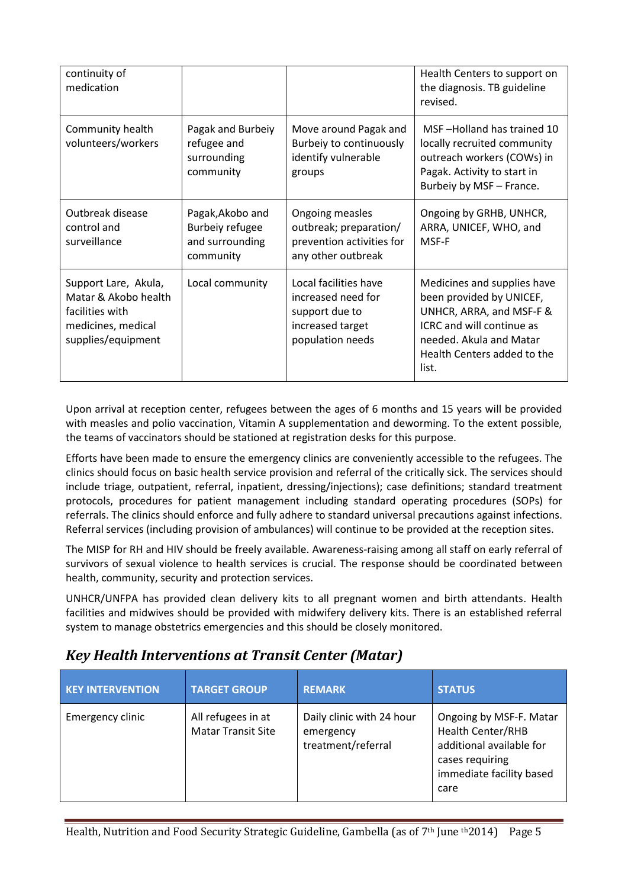| continuity of<br>medication                                                                                 |                                                                     |                                                                                                       | Health Centers to support on<br>the diagnosis. TB guideline<br>revised.                                                                                                             |
|-------------------------------------------------------------------------------------------------------------|---------------------------------------------------------------------|-------------------------------------------------------------------------------------------------------|-------------------------------------------------------------------------------------------------------------------------------------------------------------------------------------|
| Community health<br>volunteers/workers                                                                      | Pagak and Burbeiy<br>refugee and<br>surrounding<br>community        | Move around Pagak and<br>Burbeiy to continuously<br>identify vulnerable<br>groups                     | MSF-Holland has trained 10<br>locally recruited community<br>outreach workers (COWs) in<br>Pagak. Activity to start in<br>Burbeiy by MSF - France.                                  |
| Outbreak disease<br>control and<br>surveillance                                                             | Pagak, Akobo and<br>Burbeiy refugee<br>and surrounding<br>community | Ongoing measles<br>outbreak; preparation/<br>prevention activities for<br>any other outbreak          | Ongoing by GRHB, UNHCR,<br>ARRA, UNICEF, WHO, and<br>MSF-F                                                                                                                          |
| Support Lare, Akula,<br>Matar & Akobo health<br>facilities with<br>medicines, medical<br>supplies/equipment | Local community                                                     | Local facilities have<br>increased need for<br>support due to<br>increased target<br>population needs | Medicines and supplies have<br>been provided by UNICEF,<br>UNHCR, ARRA, and MSF-F &<br>ICRC and will continue as<br>needed. Akula and Matar<br>Health Centers added to the<br>list. |

Upon arrival at reception center, refugees between the ages of 6 months and 15 years will be provided with measles and polio vaccination, Vitamin A supplementation and deworming. To the extent possible, the teams of vaccinators should be stationed at registration desks for this purpose.

Efforts have been made to ensure the emergency clinics are conveniently accessible to the refugees. The clinics should focus on basic health service provision and referral of the critically sick. The services should include triage, outpatient, referral, inpatient, dressing/injections); case definitions; standard treatment protocols, procedures for patient management including standard operating procedures (SOPs) for referrals. The clinics should enforce and fully adhere to standard universal precautions against infections. Referral services (including provision of ambulances) will continue to be provided at the reception sites.

The MISP for RH and HIV should be freely available. Awareness-raising among all staff on early referral of survivors of sexual violence to health services is crucial. The response should be coordinated between health, community, security and protection services.

UNHCR/UNFPA has provided clean delivery kits to all pregnant women and birth attendants. Health facilities and midwives should be provided with midwifery delivery kits. There is an established referral system to manage obstetrics emergencies and this should be closely monitored.

## *Key Health Interventions at Transit Center (Matar)*

| <b>KEY INTERVENTION</b> | <b>TARGET GROUP</b>                             | <b>REMARK</b>                                                | <b>STATUS</b>                                                                                                                          |
|-------------------------|-------------------------------------------------|--------------------------------------------------------------|----------------------------------------------------------------------------------------------------------------------------------------|
| Emergency clinic        | All refugees in at<br><b>Matar Transit Site</b> | Daily clinic with 24 hour<br>emergency<br>treatment/referral | Ongoing by MSF-F. Matar<br><b>Health Center/RHB</b><br>additional available for<br>cases requiring<br>immediate facility based<br>care |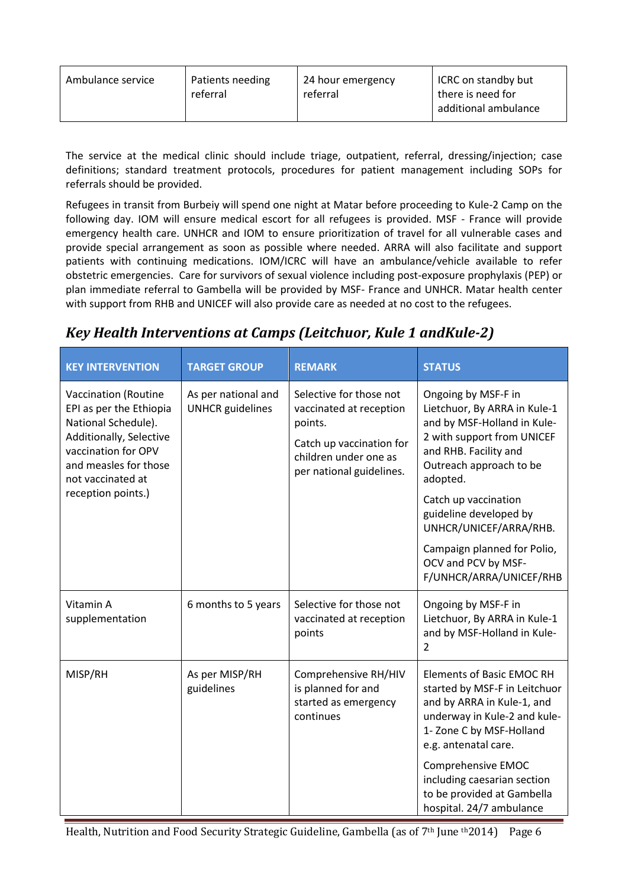| Ambulance service | ICRC on standby but  |
|-------------------|----------------------|
| Patients needing  | 24 hour emergency    |
| referral          | there is need for    |
| referral          | additional ambulance |

The service at the medical clinic should include triage, outpatient, referral, dressing/injection; case definitions; standard treatment protocols, procedures for patient management including SOPs for referrals should be provided.

Refugees in transit from Burbeiy will spend one night at Matar before proceeding to Kule-2 Camp on the following day. IOM will ensure medical escort for all refugees is provided. MSF - France will provide emergency health care. UNHCR and IOM to ensure prioritization of travel for all vulnerable cases and provide special arrangement as soon as possible where needed. ARRA will also facilitate and support patients with continuing medications. IOM/ICRC will have an ambulance/vehicle available to refer obstetric emergencies. Care for survivors of sexual violence including post-exposure prophylaxis (PEP) or plan immediate referral to Gambella will be provided by MSF- France and UNHCR. Matar health center with support from RHB and UNICEF will also provide care as needed at no cost to the refugees.

## *Key Health Interventions at Camps (Leitchuor, Kule 1 andKule-2)*

| <b>KEY INTERVENTION</b>                                                                                                                                                | <b>TARGET GROUP</b>                            | <b>REMARK</b>                                                                                                                                  | <b>STATUS</b>                                                                                                                                                                       |
|------------------------------------------------------------------------------------------------------------------------------------------------------------------------|------------------------------------------------|------------------------------------------------------------------------------------------------------------------------------------------------|-------------------------------------------------------------------------------------------------------------------------------------------------------------------------------------|
| Vaccination (Routine<br>EPI as per the Ethiopia<br>National Schedule).<br>Additionally, Selective<br>vaccination for OPV<br>and measles for those<br>not vaccinated at | As per national and<br><b>UNHCR</b> guidelines | Selective for those not<br>vaccinated at reception<br>points.<br>Catch up vaccination for<br>children under one as<br>per national guidelines. | Ongoing by MSF-F in<br>Lietchuor, By ARRA in Kule-1<br>and by MSF-Holland in Kule-<br>2 with support from UNICEF<br>and RHB. Facility and<br>Outreach approach to be<br>adopted.    |
| reception points.)                                                                                                                                                     |                                                |                                                                                                                                                | Catch up vaccination<br>guideline developed by<br>UNHCR/UNICEF/ARRA/RHB.                                                                                                            |
|                                                                                                                                                                        |                                                |                                                                                                                                                | Campaign planned for Polio,<br>OCV and PCV by MSF-<br>F/UNHCR/ARRA/UNICEF/RHB                                                                                                       |
| Vitamin A<br>supplementation                                                                                                                                           | 6 months to 5 years                            | Selective for those not<br>vaccinated at reception<br>points                                                                                   | Ongoing by MSF-F in<br>Lietchuor, By ARRA in Kule-1<br>and by MSF-Holland in Kule-<br>$\overline{2}$                                                                                |
| MISP/RH                                                                                                                                                                | As per MISP/RH<br>guidelines                   | Comprehensive RH/HIV<br>is planned for and<br>started as emergency<br>continues                                                                | <b>Elements of Basic EMOC RH</b><br>started by MSF-F in Leitchuor<br>and by ARRA in Kule-1, and<br>underway in Kule-2 and kule-<br>1- Zone C by MSF-Holland<br>e.g. antenatal care. |
|                                                                                                                                                                        |                                                |                                                                                                                                                | Comprehensive EMOC<br>including caesarian section<br>to be provided at Gambella<br>hospital. 24/7 ambulance                                                                         |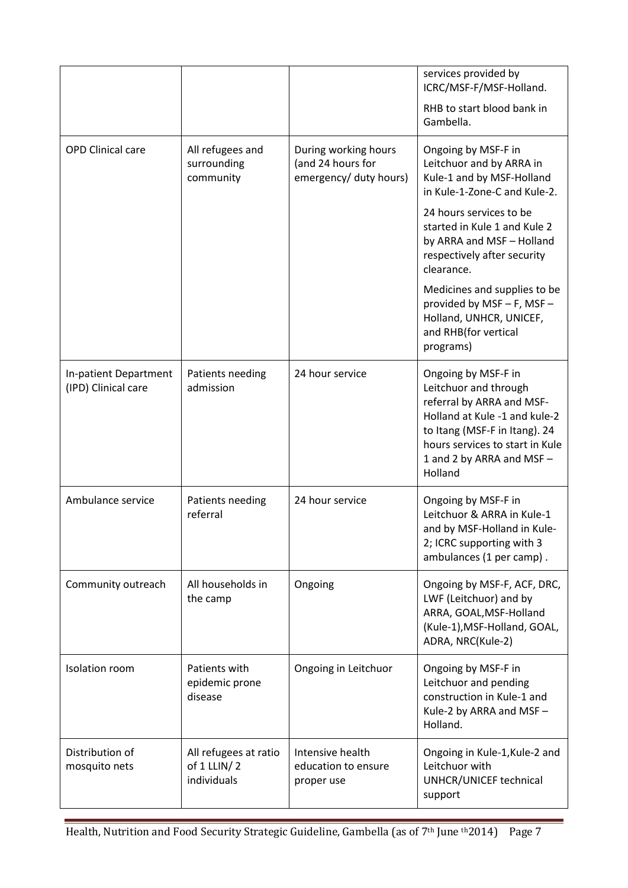|                                              |                                                     |                                                                     | services provided by<br>ICRC/MSF-F/MSF-Holland.                                                                                                                                                                        |
|----------------------------------------------|-----------------------------------------------------|---------------------------------------------------------------------|------------------------------------------------------------------------------------------------------------------------------------------------------------------------------------------------------------------------|
|                                              |                                                     |                                                                     | RHB to start blood bank in<br>Gambella.                                                                                                                                                                                |
| <b>OPD Clinical care</b>                     | All refugees and<br>surrounding<br>community        | During working hours<br>(and 24 hours for<br>emergency/ duty hours) | Ongoing by MSF-F in<br>Leitchuor and by ARRA in<br>Kule-1 and by MSF-Holland<br>in Kule-1-Zone-C and Kule-2.                                                                                                           |
|                                              |                                                     |                                                                     | 24 hours services to be<br>started in Kule 1 and Kule 2<br>by ARRA and MSF - Holland<br>respectively after security<br>clearance.                                                                                      |
|                                              |                                                     |                                                                     | Medicines and supplies to be<br>provided by MSF - F, MSF -<br>Holland, UNHCR, UNICEF,<br>and RHB(for vertical<br>programs)                                                                                             |
| In-patient Department<br>(IPD) Clinical care | Patients needing<br>admission                       | 24 hour service                                                     | Ongoing by MSF-F in<br>Leitchuor and through<br>referral by ARRA and MSF-<br>Holland at Kule -1 and kule-2<br>to Itang (MSF-F in Itang). 24<br>hours services to start in Kule<br>1 and 2 by ARRA and MSF -<br>Holland |
| Ambulance service                            | Patients needing<br>referral                        | 24 hour service                                                     | Ongoing by MSF-F in<br>Leitchuor & ARRA in Kule-1<br>and by MSF-Holland in Kule-<br>2; ICRC supporting with 3<br>ambulances (1 per camp).                                                                              |
| Community outreach                           | All households in<br>the camp                       | Ongoing                                                             | Ongoing by MSF-F, ACF, DRC,<br>LWF (Leitchuor) and by<br>ARRA, GOAL, MSF-Holland<br>(Kule-1), MSF-Holland, GOAL,<br>ADRA, NRC(Kule-2)                                                                                  |
| Isolation room                               | Patients with<br>epidemic prone<br>disease          | Ongoing in Leitchuor                                                | Ongoing by MSF-F in<br>Leitchuor and pending<br>construction in Kule-1 and<br>Kule-2 by ARRA and MSF-<br>Holland.                                                                                                      |
| Distribution of<br>mosquito nets             | All refugees at ratio<br>of 1 LLIN/2<br>individuals | Intensive health<br>education to ensure<br>proper use               | Ongoing in Kule-1, Kule-2 and<br>Leitchuor with<br>UNHCR/UNICEF technical<br>support                                                                                                                                   |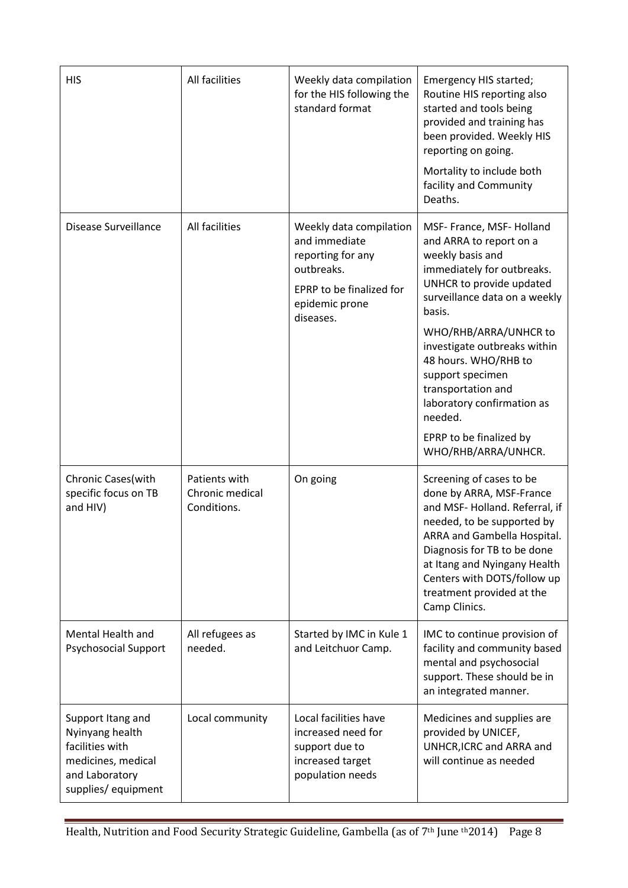| <b>HIS</b>                                                                                                            | All facilities                                  | Weekly data compilation<br>for the HIS following the<br>standard format                                                                | Emergency HIS started;<br>Routine HIS reporting also<br>started and tools being<br>provided and training has<br>been provided. Weekly HIS<br>reporting on going.<br>Mortality to include both<br>facility and Community<br>Deaths.                                                                                                                                                                  |
|-----------------------------------------------------------------------------------------------------------------------|-------------------------------------------------|----------------------------------------------------------------------------------------------------------------------------------------|-----------------------------------------------------------------------------------------------------------------------------------------------------------------------------------------------------------------------------------------------------------------------------------------------------------------------------------------------------------------------------------------------------|
| Disease Surveillance                                                                                                  | All facilities                                  | Weekly data compilation<br>and immediate<br>reporting for any<br>outbreaks.<br>EPRP to be finalized for<br>epidemic prone<br>diseases. | MSF- France, MSF- Holland<br>and ARRA to report on a<br>weekly basis and<br>immediately for outbreaks.<br>UNHCR to provide updated<br>surveillance data on a weekly<br>basis.<br>WHO/RHB/ARRA/UNHCR to<br>investigate outbreaks within<br>48 hours. WHO/RHB to<br>support specimen<br>transportation and<br>laboratory confirmation as<br>needed.<br>EPRP to be finalized by<br>WHO/RHB/ARRA/UNHCR. |
| Chronic Cases(with<br>specific focus on TB<br>and HIV)                                                                | Patients with<br>Chronic medical<br>Conditions. | On going                                                                                                                               | Screening of cases to be<br>done by ARRA, MSF-France<br>and MSF-Holland. Referral, if<br>needed, to be supported by<br>ARRA and Gambella Hospital.<br>Diagnosis for TB to be done<br>at Itang and Nyingany Health<br>Centers with DOTS/follow up<br>treatment provided at the<br>Camp Clinics.                                                                                                      |
| Mental Health and<br><b>Psychosocial Support</b>                                                                      | All refugees as<br>needed.                      | Started by IMC in Kule 1<br>and Leitchuor Camp.                                                                                        | IMC to continue provision of<br>facility and community based<br>mental and psychosocial<br>support. These should be in<br>an integrated manner.                                                                                                                                                                                                                                                     |
| Support Itang and<br>Nyinyang health<br>facilities with<br>medicines, medical<br>and Laboratory<br>supplies/equipment | Local community                                 | Local facilities have<br>increased need for<br>support due to<br>increased target<br>population needs                                  | Medicines and supplies are<br>provided by UNICEF,<br>UNHCR, ICRC and ARRA and<br>will continue as needed                                                                                                                                                                                                                                                                                            |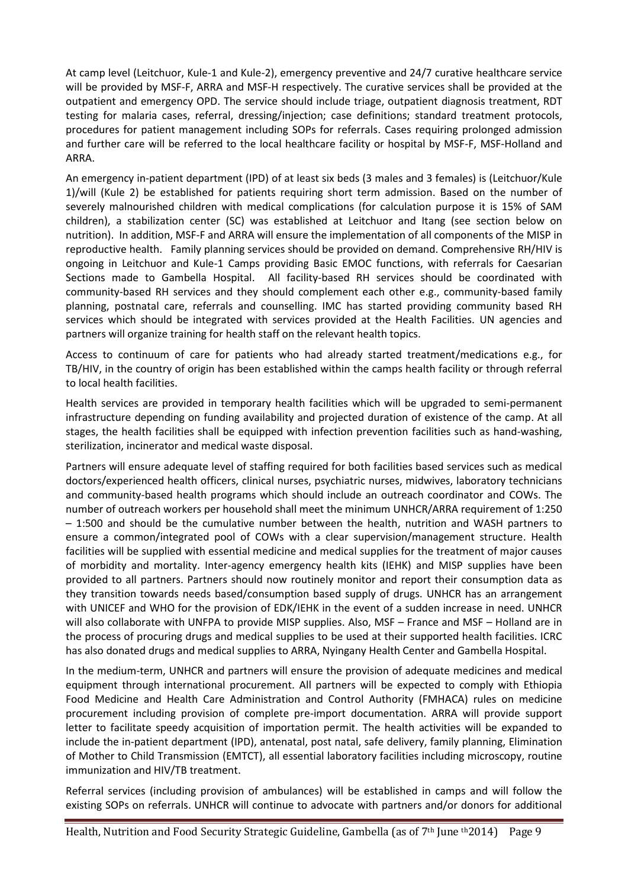At camp level (Leitchuor, Kule-1 and Kule-2), emergency preventive and 24/7 curative healthcare service will be provided by MSF-F, ARRA and MSF-H respectively. The curative services shall be provided at the outpatient and emergency OPD. The service should include triage, outpatient diagnosis treatment, RDT testing for malaria cases, referral, dressing/injection; case definitions; standard treatment protocols, procedures for patient management including SOPs for referrals. Cases requiring prolonged admission and further care will be referred to the local healthcare facility or hospital by MSF-F, MSF-Holland and ARRA.

An emergency in-patient department (IPD) of at least six beds (3 males and 3 females) is (Leitchuor/Kule 1)/will (Kule 2) be established for patients requiring short term admission. Based on the number of severely malnourished children with medical complications (for calculation purpose it is 15% of SAM children), a stabilization center (SC) was established at Leitchuor and Itang (see section below on nutrition). In addition, MSF-F and ARRA will ensure the implementation of all components of the MISP in reproductive health. Family planning services should be provided on demand. Comprehensive RH/HIV is ongoing in Leitchuor and Kule-1 Camps providing Basic EMOC functions, with referrals for Caesarian Sections made to Gambella Hospital. All facility-based RH services should be coordinated with community-based RH services and they should complement each other e.g., community-based family planning, postnatal care, referrals and counselling. IMC has started providing community based RH services which should be integrated with services provided at the Health Facilities. UN agencies and partners will organize training for health staff on the relevant health topics.

Access to continuum of care for patients who had already started treatment/medications e.g., for TB/HIV, in the country of origin has been established within the camps health facility or through referral to local health facilities.

Health services are provided in temporary health facilities which will be upgraded to semi-permanent infrastructure depending on funding availability and projected duration of existence of the camp. At all stages, the health facilities shall be equipped with infection prevention facilities such as hand-washing, sterilization, incinerator and medical waste disposal.

Partners will ensure adequate level of staffing required for both facilities based services such as medical doctors/experienced health officers, clinical nurses, psychiatric nurses, midwives, laboratory technicians and community-based health programs which should include an outreach coordinator and COWs. The number of outreach workers per household shall meet the minimum UNHCR/ARRA requirement of 1:250 – 1:500 and should be the cumulative number between the health, nutrition and WASH partners to ensure a common/integrated pool of COWs with a clear supervision/management structure. Health facilities will be supplied with essential medicine and medical supplies for the treatment of major causes of morbidity and mortality. Inter-agency emergency health kits (IEHK) and MISP supplies have been provided to all partners. Partners should now routinely monitor and report their consumption data as they transition towards needs based/consumption based supply of drugs. UNHCR has an arrangement with UNICEF and WHO for the provision of EDK/IEHK in the event of a sudden increase in need. UNHCR will also collaborate with UNFPA to provide MISP supplies. Also, MSF – France and MSF – Holland are in the process of procuring drugs and medical supplies to be used at their supported health facilities. ICRC has also donated drugs and medical supplies to ARRA, Nyingany Health Center and Gambella Hospital.

In the medium-term, UNHCR and partners will ensure the provision of adequate medicines and medical equipment through international procurement. All partners will be expected to comply with Ethiopia Food Medicine and Health Care Administration and Control Authority (FMHACA) rules on medicine procurement including provision of complete pre-import documentation. ARRA will provide support letter to facilitate speedy acquisition of importation permit. The health activities will be expanded to include the in-patient department (IPD), antenatal, post natal, safe delivery, family planning, Elimination of Mother to Child Transmission (EMTCT), all essential laboratory facilities including microscopy, routine immunization and HIV/TB treatment.

Referral services (including provision of ambulances) will be established in camps and will follow the existing SOPs on referrals. UNHCR will continue to advocate with partners and/or donors for additional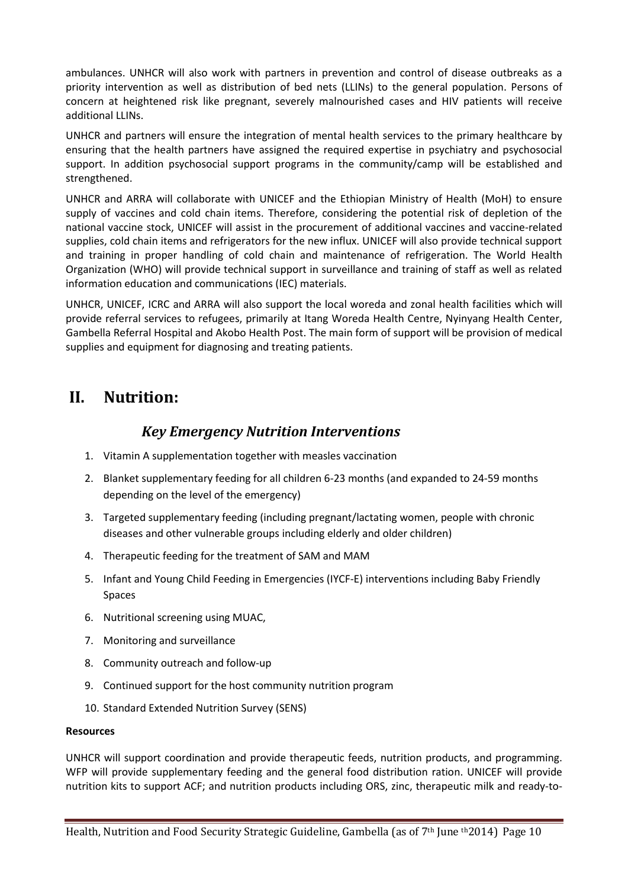ambulances. UNHCR will also work with partners in prevention and control of disease outbreaks as a priority intervention as well as distribution of bed nets (LLINs) to the general population. Persons of concern at heightened risk like pregnant, severely malnourished cases and HIV patients will receive additional LLINs.

UNHCR and partners will ensure the integration of mental health services to the primary healthcare by ensuring that the health partners have assigned the required expertise in psychiatry and psychosocial support. In addition psychosocial support programs in the community/camp will be established and strengthened.

UNHCR and ARRA will collaborate with UNICEF and the Ethiopian Ministry of Health (MoH) to ensure supply of vaccines and cold chain items. Therefore, considering the potential risk of depletion of the national vaccine stock, UNICEF will assist in the procurement of additional vaccines and vaccine-related supplies, cold chain items and refrigerators for the new influx. UNICEF will also provide technical support and training in proper handling of cold chain and maintenance of refrigeration. The World Health Organization (WHO) will provide technical support in surveillance and training of staff as well as related information education and communications (IEC) materials.

UNHCR, UNICEF, ICRC and ARRA will also support the local woreda and zonal health facilities which will provide referral services to refugees, primarily at Itang Woreda Health Centre, Nyinyang Health Center, Gambella Referral Hospital and Akobo Health Post. The main form of support will be provision of medical supplies and equipment for diagnosing and treating patients.

## **II. Nutrition:**

#### *Key Emergency Nutrition Interventions*

- 1. Vitamin A supplementation together with measles vaccination
- 2. Blanket supplementary feeding for all children 6-23 months (and expanded to 24-59 months depending on the level of the emergency)
- 3. Targeted supplementary feeding (including pregnant/lactating women, people with chronic diseases and other vulnerable groups including elderly and older children)
- 4. Therapeutic feeding for the treatment of SAM and MAM
- 5. Infant and Young Child Feeding in Emergencies (IYCF-E) interventions including Baby Friendly Spaces
- 6. Nutritional screening using MUAC,
- 7. Monitoring and surveillance
- 8. Community outreach and follow-up
- 9. Continued support for the host community nutrition program
- 10. Standard Extended Nutrition Survey (SENS)

#### **Resources**

UNHCR will support coordination and provide therapeutic feeds, nutrition products, and programming. WFP will provide supplementary feeding and the general food distribution ration. UNICEF will provide nutrition kits to support ACF; and nutrition products including ORS, zinc, therapeutic milk and ready-to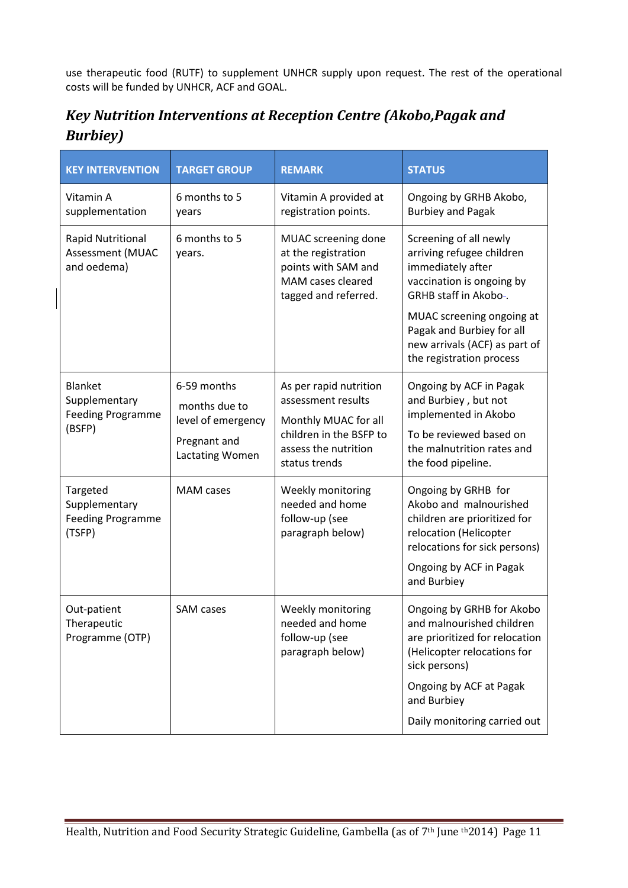use therapeutic food (RUTF) to supplement UNHCR supply upon request. The rest of the operational costs will be funded by UNHCR, ACF and GOAL.

| Key Nutrition Interventions at Reception Centre (Akobo, Pagak and |  |
|-------------------------------------------------------------------|--|
| <b>Burbiey</b> )                                                  |  |

| <b>KEY INTERVENTION</b>                                         | <b>TARGET GROUP</b>                                                                          | <b>REMARK</b>                                                                                                                            | <b>STATUS</b>                                                                                                                                                                                                                                         |
|-----------------------------------------------------------------|----------------------------------------------------------------------------------------------|------------------------------------------------------------------------------------------------------------------------------------------|-------------------------------------------------------------------------------------------------------------------------------------------------------------------------------------------------------------------------------------------------------|
| Vitamin A<br>supplementation                                    | 6 months to 5<br>years                                                                       | Vitamin A provided at<br>registration points.                                                                                            | Ongoing by GRHB Akobo,<br><b>Burbiey and Pagak</b>                                                                                                                                                                                                    |
| <b>Rapid Nutritional</b><br>Assessment (MUAC<br>and oedema)     | 6 months to 5<br>years.                                                                      | MUAC screening done<br>at the registration<br>points with SAM and<br>MAM cases cleared<br>tagged and referred.                           | Screening of all newly<br>arriving refugee children<br>immediately after<br>vaccination is ongoing by<br>GRHB staff in Akobo-.<br>MUAC screening ongoing at<br>Pagak and Burbiey for all<br>new arrivals (ACF) as part of<br>the registration process |
| Blanket<br>Supplementary<br><b>Feeding Programme</b><br>(BSFP)  | 6-59 months<br>months due to<br>level of emergency<br>Pregnant and<br><b>Lactating Women</b> | As per rapid nutrition<br>assessment results<br>Monthly MUAC for all<br>children in the BSFP to<br>assess the nutrition<br>status trends | Ongoing by ACF in Pagak<br>and Burbiey, but not<br>implemented in Akobo<br>To be reviewed based on<br>the malnutrition rates and<br>the food pipeline.                                                                                                |
| Targeted<br>Supplementary<br><b>Feeding Programme</b><br>(TSFP) | <b>MAM</b> cases                                                                             | Weekly monitoring<br>needed and home<br>follow-up (see<br>paragraph below)                                                               | Ongoing by GRHB for<br>Akobo and malnourished<br>children are prioritized for<br>relocation (Helicopter<br>relocations for sick persons)<br>Ongoing by ACF in Pagak<br>and Burbiey                                                                    |
| Out-patient<br>Therapeutic<br>Programme (OTP)                   | <b>SAM</b> cases                                                                             | Weekly monitoring<br>needed and home<br>follow-up (see<br>paragraph below)                                                               | Ongoing by GRHB for Akobo<br>and malnourished children<br>are prioritized for relocation<br>(Helicopter relocations for<br>sick persons)                                                                                                              |
|                                                                 |                                                                                              |                                                                                                                                          | Ongoing by ACF at Pagak<br>and Burbiey                                                                                                                                                                                                                |
|                                                                 |                                                                                              |                                                                                                                                          | Daily monitoring carried out                                                                                                                                                                                                                          |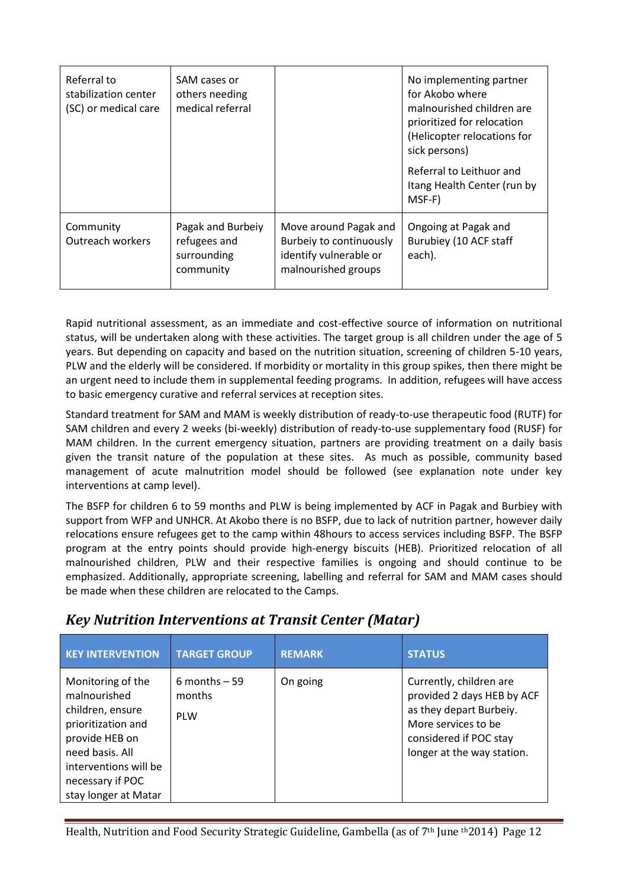| Referral to<br>stabilization center<br>(SC) or medical care | SAM cases or<br>others needing<br>medical referral            |                                                                                                   | No implementing partner<br>for Akobo where<br>malnourished children are<br>prioritized for relocation<br>(Helicopter relocations for<br>sick persons)<br>Referral to Leithuor and<br>Itang Health Center (run by<br>MSF-F) |
|-------------------------------------------------------------|---------------------------------------------------------------|---------------------------------------------------------------------------------------------------|----------------------------------------------------------------------------------------------------------------------------------------------------------------------------------------------------------------------------|
| Community<br><b>Outreach workers</b>                        | Pagak and Burbeiy<br>refugees and<br>surrounding<br>community | Move around Pagak and<br>Burbeiy to continuously<br>identify vulnerable or<br>malnourished groups | Ongoing at Pagak and<br>Burubiey (10 ACF staff<br>each).                                                                                                                                                                   |

Rapid nutritional assessment, as an immediate and cost-effective source of information on nutritional status, will be undertaken along with these activities. The target group is all children under the age of 5 years. But depending on capacity and based on the nutrition situation, screening of children 5-10 years, PLW and the elderly will be considered. If morbidity or mortality in this group spikes, then there might be an urgent need to include them in supplemental feeding programs. In addition, refugees will have access to basic emergency curative and referral services at reception sites.

Standard treatment for SAM and MAM is weekly distribution of ready-to-use therapeutic food (RUTF) for SAM children and every 2 weeks (bi-weekly) distribution of ready-to-use supplementary food (RUSF) for MAM children. In the current emergency situation, partners are providing treatment on a daily basis given the transit nature of the population at these sites. As much as possible, community based management of acute malnutrition model should be followed (see explanation note under key interventions at camp level).

The BSFP for children 6 to 59 months and PLW is being implemented by ACF in Pagak and Burbiey with support from WFP and UNHCR. At Akobo there is no BSFP, due to lack of nutrition partner, however daily relocations ensure refugees get to the camp within 48hours to access services including BSFP. The BSFP program at the entry points should provide high-energy biscuits (HEB). Prioritized relocation of all malnourished children, PLW and their respective families is ongoing and should continue to be emphasized. Additionally, appropriate screening, labelling and referral for SAM and MAM cases should be made when these children are relocated to the Camps.

| <b>KEY INTERVENTION</b>                                                                                                                                                               | <b>TARGET GROUP</b>                    | <b>REMARK</b> | <b>STATUS</b>                                                                                                                                                   |
|---------------------------------------------------------------------------------------------------------------------------------------------------------------------------------------|----------------------------------------|---------------|-----------------------------------------------------------------------------------------------------------------------------------------------------------------|
| Monitoring of the<br>malnourished<br>children, ensure<br>prioritization and<br>provide HEB on<br>need basis. All<br>interventions will be<br>necessary if POC<br>stay longer at Matar | 6 months $-59$<br>months<br><b>PLW</b> | On going      | Currently, children are<br>provided 2 days HEB by ACF<br>as they depart Burbeiy.<br>More services to be<br>considered if POC stay<br>longer at the way station. |

#### *Key Nutrition Interventions at Transit Center (Matar)*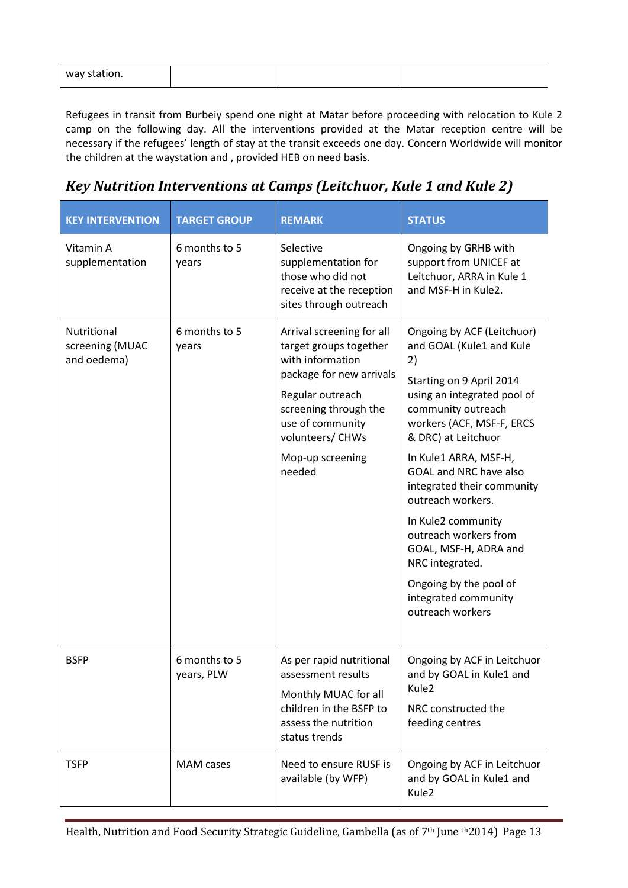| way<br>. |  |  |  |
|----------|--|--|--|
|----------|--|--|--|

Refugees in transit from Burbeiy spend one night at Matar before proceeding with relocation to Kule 2 camp on the following day. All the interventions provided at the Matar reception centre will be necessary if the refugees' length of stay at the transit exceeds one day. Concern Worldwide will monitor the children at the waystation and , provided HEB on need basis.

# *Key Nutrition Interventions at Camps (Leitchuor, Kule 1 and Kule 2)*

| <b>KEY INTERVENTION</b>                       | <b>TARGET GROUP</b>         | <b>REMARK</b>                                                                                                                                                                                                          | <b>STATUS</b>                                                                                                                                                                                                                                                                                                                                                                                                                                                                   |
|-----------------------------------------------|-----------------------------|------------------------------------------------------------------------------------------------------------------------------------------------------------------------------------------------------------------------|---------------------------------------------------------------------------------------------------------------------------------------------------------------------------------------------------------------------------------------------------------------------------------------------------------------------------------------------------------------------------------------------------------------------------------------------------------------------------------|
| Vitamin A<br>supplementation                  | 6 months to 5<br>years      | Selective<br>supplementation for<br>those who did not<br>receive at the reception<br>sites through outreach                                                                                                            | Ongoing by GRHB with<br>support from UNICEF at<br>Leitchuor, ARRA in Kule 1<br>and MSF-H in Kule2.                                                                                                                                                                                                                                                                                                                                                                              |
| Nutritional<br>screening (MUAC<br>and oedema) | 6 months to 5<br>years      | Arrival screening for all<br>target groups together<br>with information<br>package for new arrivals<br>Regular outreach<br>screening through the<br>use of community<br>volunteers/ CHWs<br>Mop-up screening<br>needed | Ongoing by ACF (Leitchuor)<br>and GOAL (Kule1 and Kule<br>2)<br>Starting on 9 April 2014<br>using an integrated pool of<br>community outreach<br>workers (ACF, MSF-F, ERCS<br>& DRC) at Leitchuor<br>In Kule1 ARRA, MSF-H,<br><b>GOAL and NRC have also</b><br>integrated their community<br>outreach workers.<br>In Kule2 community<br>outreach workers from<br>GOAL, MSF-H, ADRA and<br>NRC integrated.<br>Ongoing by the pool of<br>integrated community<br>outreach workers |
| <b>BSFP</b>                                   | 6 months to 5<br>years, PLW | As per rapid nutritional<br>assessment results<br>Monthly MUAC for all<br>children in the BSFP to<br>assess the nutrition<br>status trends                                                                             | Ongoing by ACF in Leitchuor<br>and by GOAL in Kule1 and<br>Kule2<br>NRC constructed the<br>feeding centres                                                                                                                                                                                                                                                                                                                                                                      |
| <b>TSFP</b>                                   | MAM cases                   | Need to ensure RUSF is<br>available (by WFP)                                                                                                                                                                           | Ongoing by ACF in Leitchuor<br>and by GOAL in Kule1 and<br>Kule2                                                                                                                                                                                                                                                                                                                                                                                                                |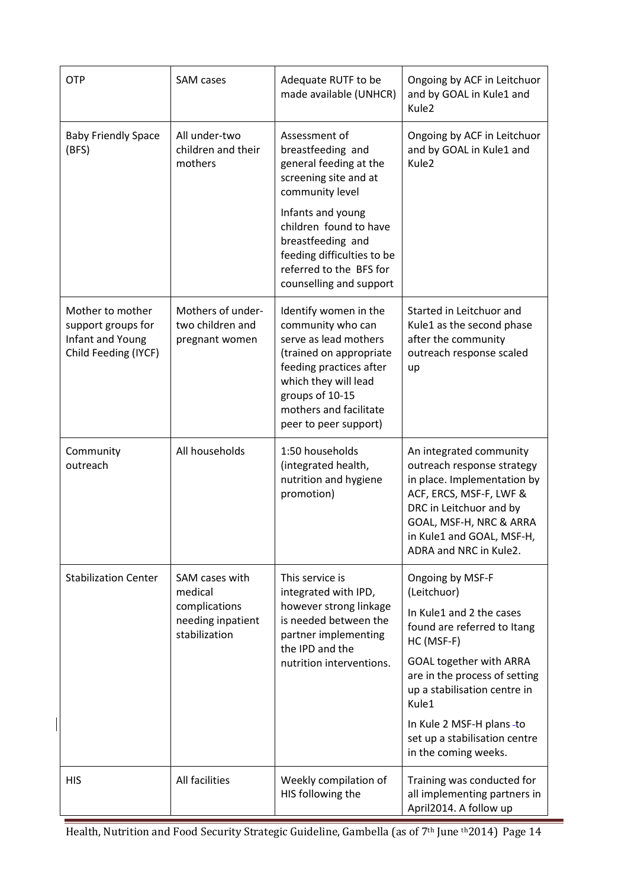| <b>OTP</b>                                                                         | Adequate RUTF to be<br><b>SAM</b> cases<br>made available (UNHCR)    |                                                                                                                                                                                                                         | Ongoing by ACF in Leitchuor<br>and by GOAL in Kule1 and<br>Kule2                                                                                                                                                             |
|------------------------------------------------------------------------------------|----------------------------------------------------------------------|-------------------------------------------------------------------------------------------------------------------------------------------------------------------------------------------------------------------------|------------------------------------------------------------------------------------------------------------------------------------------------------------------------------------------------------------------------------|
| <b>Baby Friendly Space</b><br>(BFS)                                                | All under-two<br>children and their<br>mothers                       | Assessment of<br>breastfeeding and<br>general feeding at the<br>screening site and at<br>community level                                                                                                                | Ongoing by ACF in Leitchuor<br>and by GOAL in Kule1 and<br>Kule <sub>2</sub>                                                                                                                                                 |
|                                                                                    |                                                                      | Infants and young<br>children found to have<br>breastfeeding and<br>feeding difficulties to be<br>referred to the BFS for<br>counselling and support                                                                    |                                                                                                                                                                                                                              |
| Mother to mother<br>support groups for<br>Infant and Young<br>Child Feeding (IYCF) | Mothers of under-<br>two children and<br>pregnant women              | Identify women in the<br>community who can<br>serve as lead mothers<br>(trained on appropriate<br>feeding practices after<br>which they will lead<br>groups of 10-15<br>mothers and facilitate<br>peer to peer support) | Started in Leitchuor and<br>Kule1 as the second phase<br>after the community<br>outreach response scaled<br>up                                                                                                               |
| Community<br>outreach                                                              | All households                                                       | 1:50 households<br>(integrated health,<br>nutrition and hygiene<br>promotion)                                                                                                                                           | An integrated community<br>outreach response strategy<br>in place. Implementation by<br>ACF, ERCS, MSF-F, LWF &<br>DRC in Leitchuor and by<br>GOAL, MSF-H, NRC & ARRA<br>in Kule1 and GOAL, MSF-H,<br>ADRA and NRC in Kule2. |
| <b>Stabilization Center</b>                                                        | SAM cases with<br>This service is<br>medical<br>integrated with IPD, |                                                                                                                                                                                                                         | Ongoing by MSF-F<br>(Leitchuor)                                                                                                                                                                                              |
|                                                                                    | complications<br>needing inpatient<br>stabilization                  | however strong linkage<br>is needed between the<br>partner implementing<br>the IPD and the                                                                                                                              | In Kule1 and 2 the cases<br>found are referred to Itang<br>HC (MSF-F)                                                                                                                                                        |
|                                                                                    |                                                                      | nutrition interventions.                                                                                                                                                                                                | <b>GOAL together with ARRA</b><br>are in the process of setting<br>up a stabilisation centre in<br>Kule1                                                                                                                     |
|                                                                                    |                                                                      |                                                                                                                                                                                                                         | In Kule 2 MSF-H plans -to<br>set up a stabilisation centre<br>in the coming weeks.                                                                                                                                           |
| <b>HIS</b>                                                                         | All facilities                                                       | Weekly compilation of<br>HIS following the                                                                                                                                                                              | Training was conducted for<br>all implementing partners in<br>April2014. A follow up                                                                                                                                         |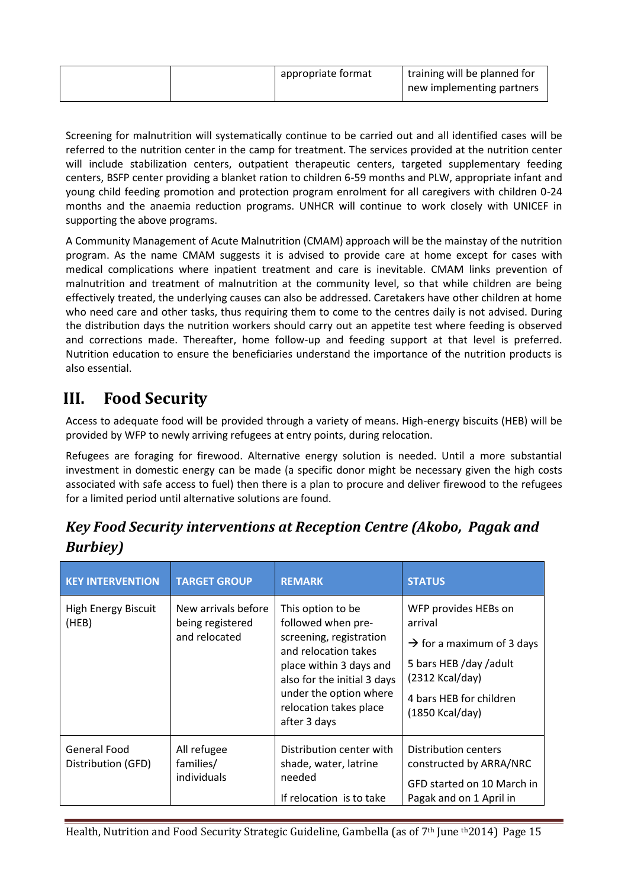|  | appropriate format | training will be planned for<br>new implementing partners |
|--|--------------------|-----------------------------------------------------------|
|  |                    |                                                           |

Screening for malnutrition will systematically continue to be carried out and all identified cases will be referred to the nutrition center in the camp for treatment. The services provided at the nutrition center will include stabilization centers, outpatient therapeutic centers, targeted supplementary feeding centers, BSFP center providing a blanket ration to children 6-59 months and PLW, appropriate infant and young child feeding promotion and protection program enrolment for all caregivers with children 0-24 months and the anaemia reduction programs. UNHCR will continue to work closely with UNICEF in supporting the above programs.

A Community Management of Acute Malnutrition (CMAM) approach will be the mainstay of the nutrition program. As the name CMAM suggests it is advised to provide care at home except for cases with medical complications where inpatient treatment and care is inevitable. CMAM links prevention of malnutrition and treatment of malnutrition at the community level, so that while children are being effectively treated, the underlying causes can also be addressed. Caretakers have other children at home who need care and other tasks, thus requiring them to come to the centres daily is not advised. During the distribution days the nutrition workers should carry out an appetite test where feeding is observed and corrections made. Thereafter, home follow-up and feeding support at that level is preferred. Nutrition education to ensure the beneficiaries understand the importance of the nutrition products is also essential.

# **III. Food Security**

Access to adequate food will be provided through a variety of means. High-energy biscuits (HEB) will be provided by WFP to newly arriving refugees at entry points, during relocation.

Refugees are foraging for firewood. Alternative energy solution is needed. Until a more substantial investment in domestic energy can be made (a specific donor might be necessary given the high costs associated with safe access to fuel) then there is a plan to procure and deliver firewood to the refugees for a limited period until alternative solutions are found.

| <b>KEY INTERVENTION</b>            | <b>TARGET GROUP</b>                                      | <b>REMARK</b>                                                                                                                                                                                                            | <b>STATUS</b>                                                                                                                                                           |
|------------------------------------|----------------------------------------------------------|--------------------------------------------------------------------------------------------------------------------------------------------------------------------------------------------------------------------------|-------------------------------------------------------------------------------------------------------------------------------------------------------------------------|
| High Energy Biscuit<br>(HEB)       | New arrivals before<br>being registered<br>and relocated | This option to be<br>followed when pre-<br>screening, registration<br>and relocation takes<br>place within 3 days and<br>also for the initial 3 days<br>under the option where<br>relocation takes place<br>after 3 days | WFP provides HEBs on<br>arrival<br>$\rightarrow$ for a maximum of 3 days<br>5 bars HEB /day /adult<br>$(2312$ Kcal/day)<br>4 bars HEB for children<br>$(1850$ Kcal/day) |
| General Food<br>Distribution (GFD) | All refugee<br>families/<br>individuals                  | Distribution center with<br>shade, water, latrine<br>needed<br>If relocation is to take                                                                                                                                  | Distribution centers<br>constructed by ARRA/NRC<br>GFD started on 10 March in<br>Pagak and on 1 April in                                                                |

*Key Food Security interventions at Reception Centre (Akobo, Pagak and Burbiey)*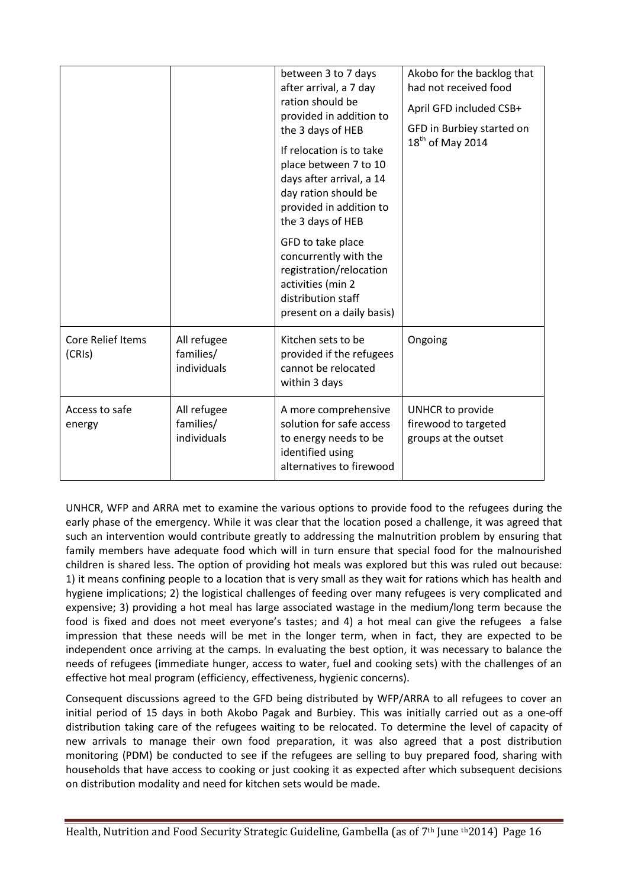|                                    |                                         | between 3 to 7 days<br>after arrival, a 7 day<br>ration should be<br>provided in addition to<br>the 3 days of HEB<br>If relocation is to take<br>place between 7 to 10<br>days after arrival, a 14<br>day ration should be<br>provided in addition to<br>the 3 days of HEB | Akobo for the backlog that<br>had not received food<br>April GFD included CSB+<br>GFD in Burbiey started on<br>$18th$ of May 2014 |
|------------------------------------|-----------------------------------------|----------------------------------------------------------------------------------------------------------------------------------------------------------------------------------------------------------------------------------------------------------------------------|-----------------------------------------------------------------------------------------------------------------------------------|
|                                    |                                         | GFD to take place<br>concurrently with the<br>registration/relocation<br>activities (min 2<br>distribution staff<br>present on a daily basis)                                                                                                                              |                                                                                                                                   |
| <b>Core Relief Items</b><br>(CRIs) | All refugee<br>families/<br>individuals | Kitchen sets to be<br>provided if the refugees<br>cannot be relocated<br>within 3 days                                                                                                                                                                                     | Ongoing                                                                                                                           |
| Access to safe<br>energy           | All refugee<br>families/<br>individuals | A more comprehensive<br>solution for safe access<br>to energy needs to be<br>identified using<br>alternatives to firewood                                                                                                                                                  | UNHCR to provide<br>firewood to targeted<br>groups at the outset                                                                  |

UNHCR, WFP and ARRA met to examine the various options to provide food to the refugees during the early phase of the emergency. While it was clear that the location posed a challenge, it was agreed that such an intervention would contribute greatly to addressing the malnutrition problem by ensuring that family members have adequate food which will in turn ensure that special food for the malnourished children is shared less. The option of providing hot meals was explored but this was ruled out because: 1) it means confining people to a location that is very small as they wait for rations which has health and hygiene implications; 2) the logistical challenges of feeding over many refugees is very complicated and expensive; 3) providing a hot meal has large associated wastage in the medium/long term because the food is fixed and does not meet everyone's tastes; and 4) a hot meal can give the refugees a false impression that these needs will be met in the longer term, when in fact, they are expected to be independent once arriving at the camps. In evaluating the best option, it was necessary to balance the needs of refugees (immediate hunger, access to water, fuel and cooking sets) with the challenges of an effective hot meal program (efficiency, effectiveness, hygienic concerns).

Consequent discussions agreed to the GFD being distributed by WFP/ARRA to all refugees to cover an initial period of 15 days in both Akobo Pagak and Burbiey. This was initially carried out as a one-off distribution taking care of the refugees waiting to be relocated. To determine the level of capacity of new arrivals to manage their own food preparation, it was also agreed that a post distribution monitoring (PDM) be conducted to see if the refugees are selling to buy prepared food, sharing with households that have access to cooking or just cooking it as expected after which subsequent decisions on distribution modality and need for kitchen sets would be made.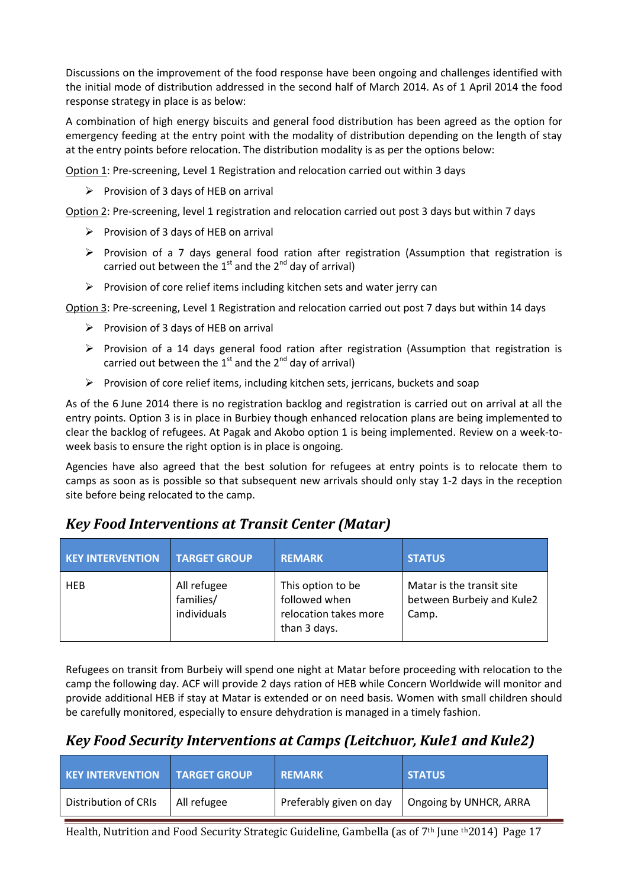Discussions on the improvement of the food response have been ongoing and challenges identified with the initial mode of distribution addressed in the second half of March 2014. As of 1 April 2014 the food response strategy in place is as below:

A combination of high energy biscuits and general food distribution has been agreed as the option for emergency feeding at the entry point with the modality of distribution depending on the length of stay at the entry points before relocation. The distribution modality is as per the options below:

Option 1: Pre-screening, Level 1 Registration and relocation carried out within 3 days

 $\triangleright$  Provision of 3 days of HEB on arrival

Option 2: Pre-screening, level 1 registration and relocation carried out post 3 days but within 7 days

- $\triangleright$  Provision of 3 days of HEB on arrival
- $\triangleright$  Provision of a 7 days general food ration after registration (Assumption that registration is carried out between the  $1<sup>st</sup>$  and the  $2<sup>nd</sup>$  day of arrival)
- $\triangleright$  Provision of core relief items including kitchen sets and water jerry can

Option 3: Pre-screening, Level 1 Registration and relocation carried out post 7 days but within 14 days

- $\triangleright$  Provision of 3 days of HEB on arrival
- $\triangleright$  Provision of a 14 days general food ration after registration (Assumption that registration is carried out between the  $1<sup>st</sup>$  and the  $2<sup>nd</sup>$  day of arrival)
- $\triangleright$  Provision of core relief items, including kitchen sets, jerricans, buckets and soap

As of the 6 June 2014 there is no registration backlog and registration is carried out on arrival at all the entry points. Option 3 is in place in Burbiey though enhanced relocation plans are being implemented to clear the backlog of refugees. At Pagak and Akobo option 1 is being implemented. Review on a week-toweek basis to ensure the right option is in place is ongoing.

Agencies have also agreed that the best solution for refugees at entry points is to relocate them to camps as soon as is possible so that subsequent new arrivals should only stay 1-2 days in the reception site before being relocated to the camp.

## *Key Food Interventions at Transit Center (Matar)*

| <b>KEY INTERVENTION</b> | <b>TARGET GROUP</b>                     | <b>REMARK</b>                                                               | <b>STATUS</b>                                                   |
|-------------------------|-----------------------------------------|-----------------------------------------------------------------------------|-----------------------------------------------------------------|
| <b>HEB</b>              | All refugee<br>families/<br>individuals | This option to be<br>followed when<br>relocation takes more<br>than 3 days. | Matar is the transit site<br>between Burbeiy and Kule2<br>Camp. |

Refugees on transit from Burbeiy will spend one night at Matar before proceeding with relocation to the camp the following day. ACF will provide 2 days ration of HEB while Concern Worldwide will monitor and provide additional HEB if stay at Matar is extended or on need basis. Women with small children should be carefully monitored, especially to ensure dehydration is managed in a timely fashion.

## *Key Food Security Interventions at Camps (Leitchuor, Kule1 and Kule2)*

| <b>KEY INTERVENTION</b><br><b>TARGET GROUP</b> |             | <b>REMARK</b>           | <b>STATUS</b>          |  |
|------------------------------------------------|-------------|-------------------------|------------------------|--|
| <b>Distribution of CRIs</b>                    | All refugee | Preferably given on day | Ongoing by UNHCR, ARRA |  |

Health, Nutrition and Food Security Strategic Guideline, Gambella (as of 7<sup>th</sup> June <sup>th</sup>2014) Page 17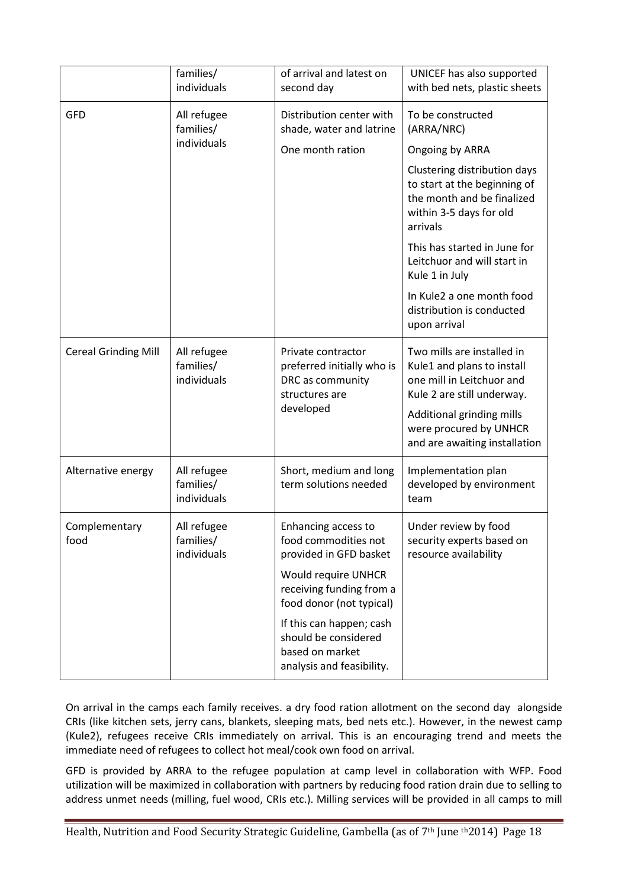|                             | families/<br>individuals                | of arrival and latest on<br>second day                                                              | UNICEF has also supported<br>with bed nets, plastic sheets                                                                                                                                                  |
|-----------------------------|-----------------------------------------|-----------------------------------------------------------------------------------------------------|-------------------------------------------------------------------------------------------------------------------------------------------------------------------------------------------------------------|
| <b>GFD</b>                  | All refugee<br>families/                | Distribution center with<br>shade, water and latrine                                                | To be constructed<br>(ARRA/NRC)                                                                                                                                                                             |
|                             | individuals                             | One month ration                                                                                    | Ongoing by ARRA                                                                                                                                                                                             |
|                             |                                         |                                                                                                     | Clustering distribution days<br>to start at the beginning of<br>the month and be finalized<br>within 3-5 days for old<br>arrivals                                                                           |
|                             |                                         |                                                                                                     | This has started in June for<br>Leitchuor and will start in<br>Kule 1 in July                                                                                                                               |
|                             |                                         |                                                                                                     | In Kule2 a one month food<br>distribution is conducted<br>upon arrival                                                                                                                                      |
| <b>Cereal Grinding Mill</b> | All refugee<br>families/<br>individuals | Private contractor<br>preferred initially who is<br>DRC as community<br>structures are<br>developed | Two mills are installed in<br>Kule1 and plans to install<br>one mill in Leitchuor and<br>Kule 2 are still underway.<br>Additional grinding mills<br>were procured by UNHCR<br>and are awaiting installation |
| Alternative energy          | All refugee<br>families/<br>individuals | Short, medium and long<br>term solutions needed                                                     | Implementation plan<br>developed by environment<br>team                                                                                                                                                     |
| Complementary<br>food       | All refugee<br>families/<br>individuals | Enhancing access to<br>food commodities not<br>provided in GFD basket                               | Under review by food<br>security experts based on<br>resource availability                                                                                                                                  |
|                             |                                         | Would require UNHCR<br>receiving funding from a<br>food donor (not typical)                         |                                                                                                                                                                                                             |
|                             |                                         | If this can happen; cash<br>should be considered<br>based on market<br>analysis and feasibility.    |                                                                                                                                                                                                             |

On arrival in the camps each family receives. a dry food ration allotment on the second day alongside CRIs (like kitchen sets, jerry cans, blankets, sleeping mats, bed nets etc.). However, in the newest camp (Kule2), refugees receive CRIs immediately on arrival. This is an encouraging trend and meets the immediate need of refugees to collect hot meal/cook own food on arrival.

GFD is provided by ARRA to the refugee population at camp level in collaboration with WFP. Food utilization will be maximized in collaboration with partners by reducing food ration drain due to selling to address unmet needs (milling, fuel wood, CRIs etc.). Milling services will be provided in all camps to mill

Health, Nutrition and Food Security Strategic Guideline, Gambella (as of 7<sup>th</sup> June <sup>th</sup>2014) Page 18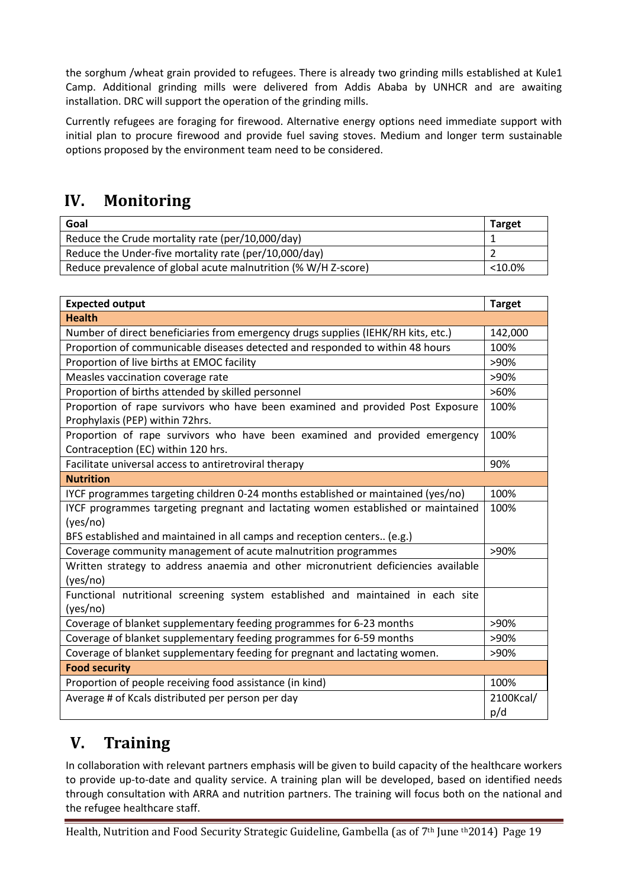the sorghum /wheat grain provided to refugees. There is already two grinding mills established at Kule1 Camp. Additional grinding mills were delivered from Addis Ababa by UNHCR and are awaiting installation. DRC will support the operation of the grinding mills.

Currently refugees are foraging for firewood. Alternative energy options need immediate support with initial plan to procure firewood and provide fuel saving stoves. Medium and longer term sustainable options proposed by the environment team need to be considered.

# **IV. Monitoring**

| Goal                                                           | <b>Target</b> |
|----------------------------------------------------------------|---------------|
| Reduce the Crude mortality rate (per/10,000/day)               |               |
| Reduce the Under-five mortality rate (per/10,000/day)          |               |
| Reduce prevalence of global acute malnutrition (% W/H Z-score) | $< 10.0\%$    |

| <b>Expected output</b>                                                                                            | <b>Target</b> |  |  |  |
|-------------------------------------------------------------------------------------------------------------------|---------------|--|--|--|
| <b>Health</b>                                                                                                     |               |  |  |  |
| Number of direct beneficiaries from emergency drugs supplies (IEHK/RH kits, etc.)                                 | 142,000       |  |  |  |
| Proportion of communicable diseases detected and responded to within 48 hours                                     | 100%          |  |  |  |
| Proportion of live births at EMOC facility                                                                        | $>90\%$       |  |  |  |
| Measles vaccination coverage rate                                                                                 | >90%          |  |  |  |
| Proportion of births attended by skilled personnel                                                                | $>60\%$       |  |  |  |
| Proportion of rape survivors who have been examined and provided Post Exposure<br>Prophylaxis (PEP) within 72hrs. | 100%          |  |  |  |
| Proportion of rape survivors who have been examined and provided emergency<br>Contraception (EC) within 120 hrs.  | 100%          |  |  |  |
| Facilitate universal access to antiretroviral therapy                                                             | 90%           |  |  |  |
| <b>Nutrition</b>                                                                                                  |               |  |  |  |
| IYCF programmes targeting children 0-24 months established or maintained (yes/no)                                 | 100%          |  |  |  |
| IYCF programmes targeting pregnant and lactating women established or maintained                                  | 100%          |  |  |  |
| (yes/no)                                                                                                          |               |  |  |  |
| BFS established and maintained in all camps and reception centers (e.g.)                                          |               |  |  |  |
| Coverage community management of acute malnutrition programmes                                                    | >90%          |  |  |  |
| Written strategy to address anaemia and other micronutrient deficiencies available                                |               |  |  |  |
| (yes/no)                                                                                                          |               |  |  |  |
| Functional nutritional screening system established and maintained in each site<br>(yes/no)                       |               |  |  |  |
| Coverage of blanket supplementary feeding programmes for 6-23 months                                              | >90%          |  |  |  |
| Coverage of blanket supplementary feeding programmes for 6-59 months                                              | >90%          |  |  |  |
| Coverage of blanket supplementary feeding for pregnant and lactating women.                                       | >90%          |  |  |  |
| <b>Food security</b>                                                                                              |               |  |  |  |
| Proportion of people receiving food assistance (in kind)                                                          | 100%          |  |  |  |
| Average # of Kcals distributed per person per day                                                                 | 2100Kcal/     |  |  |  |
|                                                                                                                   | p/d           |  |  |  |

# **V. Training**

In collaboration with relevant partners emphasis will be given to build capacity of the healthcare workers to provide up-to-date and quality service. A training plan will be developed, based on identified needs through consultation with ARRA and nutrition partners. The training will focus both on the national and the refugee healthcare staff.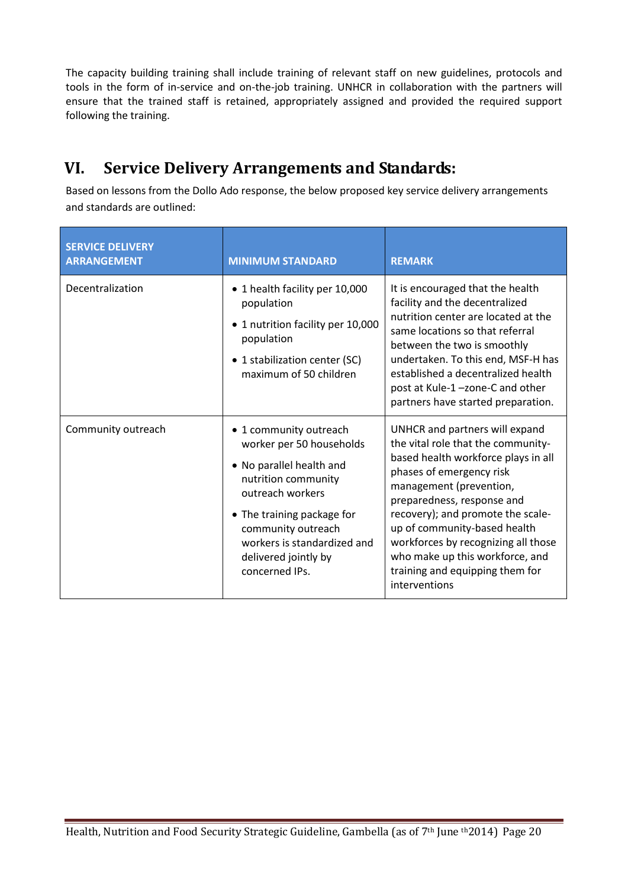The capacity building training shall include training of relevant staff on new guidelines, protocols and tools in the form of in-service and on-the-job training. UNHCR in collaboration with the partners will ensure that the trained staff is retained, appropriately assigned and provided the required support following the training.

# **VI. Service Delivery Arrangements and Standards:**

Based on lessons from the Dollo Ado response, the below proposed key service delivery arrangements and standards are outlined:

| <b>SERVICE DELIVERY</b><br><b>ARRANGEMENT</b> | <b>MINIMUM STANDARD</b>                                                                                                                                                                                                                                | <b>REMARK</b>                                                                                                                                                                                                                                                                                                                                                                                       |
|-----------------------------------------------|--------------------------------------------------------------------------------------------------------------------------------------------------------------------------------------------------------------------------------------------------------|-----------------------------------------------------------------------------------------------------------------------------------------------------------------------------------------------------------------------------------------------------------------------------------------------------------------------------------------------------------------------------------------------------|
| Decentralization                              | • 1 health facility per 10,000<br>population<br>1 nutrition facility per 10,000<br>population<br>• 1 stabilization center (SC)<br>maximum of 50 children                                                                                               | It is encouraged that the health<br>facility and the decentralized<br>nutrition center are located at the<br>same locations so that referral<br>between the two is smoothly<br>undertaken. To this end, MSF-H has<br>established a decentralized health<br>post at Kule-1-zone-C and other<br>partners have started preparation.                                                                    |
| Community outreach                            | • 1 community outreach<br>worker per 50 households<br>• No parallel health and<br>nutrition community<br>outreach workers<br>• The training package for<br>community outreach<br>workers is standardized and<br>delivered jointly by<br>concerned IPs. | UNHCR and partners will expand<br>the vital role that the community-<br>based health workforce plays in all<br>phases of emergency risk<br>management (prevention,<br>preparedness, response and<br>recovery); and promote the scale-<br>up of community-based health<br>workforces by recognizing all those<br>who make up this workforce, and<br>training and equipping them for<br>interventions |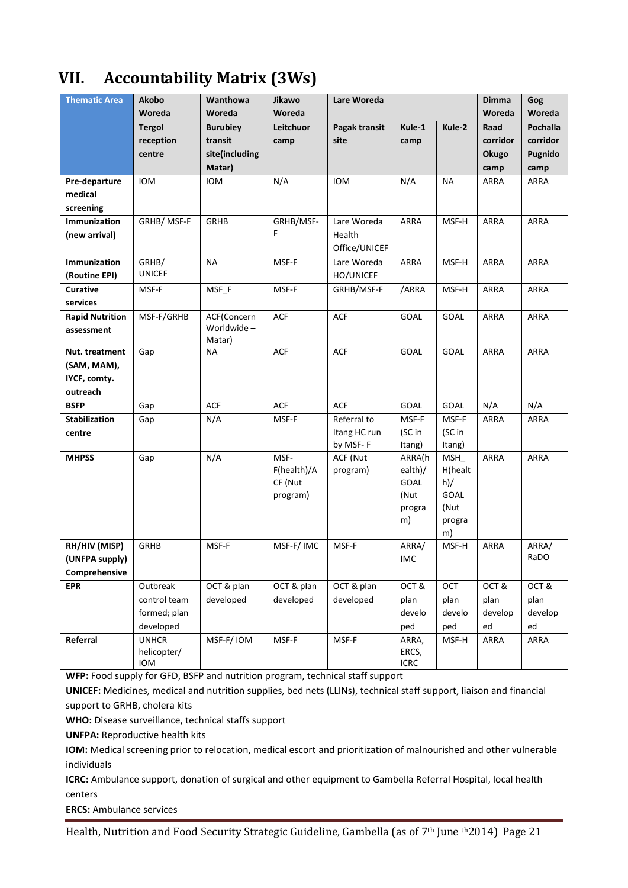# **VII. Accountability Matrix (3Ws)**

| <b>Thematic Area</b>                 | Akobo                       | Wanthowa        | Jikawo      | Lare Woreda          |                   |                | <b>Dimma</b> | Gog         |
|--------------------------------------|-----------------------------|-----------------|-------------|----------------------|-------------------|----------------|--------------|-------------|
|                                      | Woreda                      | Woreda          | Woreda      |                      |                   |                | Woreda       | Woreda      |
|                                      | <b>Tergol</b>               | <b>Burubiey</b> | Leitchuor   | Pagak transit        | Kule-1            | Kule-2         | Raad         | Pochalla    |
|                                      | reception                   | transit         | camp        | site                 | camp              |                | corridor     | corridor    |
|                                      | centre                      | site(including  |             |                      |                   |                | Okugo        | Pugnido     |
|                                      |                             | Matar)          |             |                      |                   |                | camp         | camp        |
| Pre-departure                        | <b>IOM</b>                  | <b>IOM</b>      | N/A         | <b>IOM</b>           | N/A               | <b>NA</b>      | ARRA         | ARRA        |
| medical                              |                             |                 |             |                      |                   |                |              |             |
| screening                            |                             |                 |             |                      |                   |                |              |             |
| Immunization                         | GRHB/MSF-F                  | <b>GRHB</b>     | GRHB/MSF-   | Lare Woreda          | <b>ARRA</b>       | MSF-H          | <b>ARRA</b>  | ARRA        |
| (new arrival)                        |                             |                 | F           | Health               |                   |                |              |             |
|                                      |                             |                 |             | Office/UNICEF        |                   |                |              |             |
| Immunization                         | GRHB/<br><b>UNICEF</b>      | <b>NA</b>       | MSF-F       | Lare Woreda          | <b>ARRA</b>       | MSF-H          | ARRA         | ARRA        |
| (Routine EPI)                        |                             |                 |             | HO/UNICEF            |                   |                |              |             |
| <b>Curative</b><br>services          | MSF-F                       | MSF_F           | MSF-F       | GRHB/MSF-F           | /ARRA             | MSF-H          | ARRA         | <b>ARRA</b> |
|                                      |                             | ACF(Concern     | <b>ACF</b>  | <b>ACF</b>           | <b>GOAL</b>       | <b>GOAL</b>    | <b>ARRA</b>  | ARRA        |
| <b>Rapid Nutrition</b><br>assessment | MSF-F/GRHB                  | Worldwide-      |             |                      |                   |                |              |             |
|                                      |                             | Matar)          |             |                      |                   |                |              |             |
| Nut. treatment                       | Gap                         | <b>NA</b>       | <b>ACF</b>  | <b>ACF</b>           | GOAL              | <b>GOAL</b>    | <b>ARRA</b>  | ARRA        |
| (SAM, MAM),                          |                             |                 |             |                      |                   |                |              |             |
| IYCF, comty.                         |                             |                 |             |                      |                   |                |              |             |
| outreach                             |                             |                 |             |                      |                   |                |              |             |
| <b>BSFP</b>                          | Gap                         | <b>ACF</b>      | <b>ACF</b>  | <b>ACF</b>           | GOAL              | GOAL           | N/A          | N/A         |
| <b>Stabilization</b>                 | Gap                         | N/A             | MSF-F       | Referral to          | MSF-F             | MSF-F          | <b>ARRA</b>  | <b>ARRA</b> |
| centre                               |                             |                 |             | Itang HC run         | (SC in            | (SC in         |              |             |
|                                      |                             | N/A             | MSF-        | by MSF-F             | Itang)            | Itang)         | <b>ARRA</b>  | ARRA        |
| <b>MHPSS</b>                         | Gap                         |                 | F(health)/A | ACF (Nut<br>program) | ARRA(h<br>ealth)/ | MSH<br>H(healt |              |             |
|                                      |                             |                 | CF (Nut     |                      | <b>GOAL</b>       | h)/            |              |             |
|                                      |                             |                 | program)    |                      | (Nut              | <b>GOAL</b>    |              |             |
|                                      |                             |                 |             |                      | progra            | (Nut           |              |             |
|                                      |                             |                 |             |                      | m)                | progra         |              |             |
|                                      |                             |                 |             |                      |                   | m)             |              |             |
| RH/HIV (MISP)                        | <b>GRHB</b>                 | MSF-F           | MSF-F/IMC   | MSF-F                | ARRA/             | MSF-H          | <b>ARRA</b>  | ARRA/       |
| (UNFPA supply)                       |                             |                 |             |                      | IMC               |                |              | RaDO        |
| Comprehensive                        |                             |                 |             |                      |                   |                |              |             |
| <b>EPR</b>                           | Outbreak                    | OCT & plan      | OCT & plan  | OCT & plan           | OCT&              | OCT            | OCT&         | OCT&        |
|                                      | control team                | developed       | developed   | developed            | plan              | plan           | plan         | plan        |
|                                      | formed; plan                |                 |             |                      | develo            | develo         | develop      | develop     |
|                                      | developed                   |                 |             |                      | ped               | ped            | ed           | ed          |
| Referral                             | <b>UNHCR</b><br>helicopter/ | MSF-F/IOM       | MSF-F       | MSF-F                | ARRA,<br>ERCS,    | MSF-H          | ARRA         | ARRA        |
|                                      | IOM                         |                 |             |                      | <b>ICRC</b>       |                |              |             |
|                                      |                             |                 |             |                      |                   |                |              |             |

**WFP:** Food supply for GFD, BSFP and nutrition program, technical staff support

**UNICEF:** Medicines, medical and nutrition supplies, bed nets (LLINs), technical staff support, liaison and financial support to GRHB, cholera kits

**WHO:** Disease surveillance, technical staffs support

**UNFPA:** Reproductive health kits

**IOM:** Medical screening prior to relocation, medical escort and prioritization of malnourished and other vulnerable individuals

**ICRC:** Ambulance support, donation of surgical and other equipment to Gambella Referral Hospital, local health centers

**ERCS:** Ambulance services